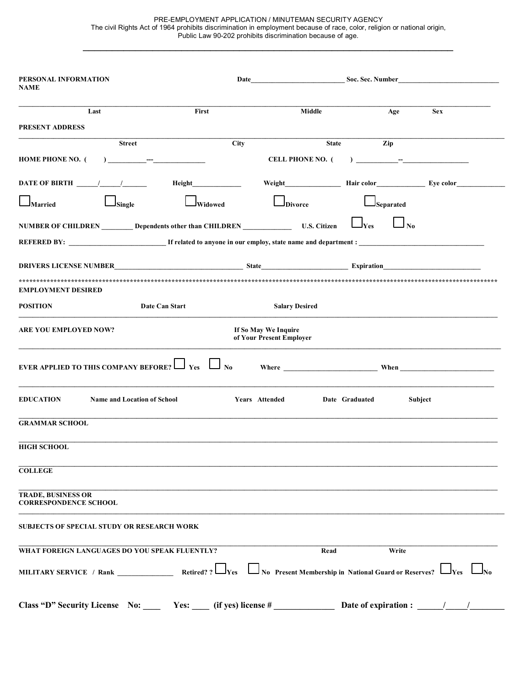PRE-EMPLOYMENT APPLICATION / MINUTEMAN SECURITY AGENCY The civil Rights Act of 1964 prohibits discrimination in employment because of race, color, religion or national origin, Public Law 90-202 prohibits discrimination because of age.

\_\_\_\_\_\_\_\_\_\_\_\_\_\_\_\_\_\_\_\_\_\_\_\_\_\_\_\_\_\_\_\_\_\_\_\_\_\_\_\_\_\_\_\_\_\_\_\_\_\_\_\_\_\_\_\_\_\_\_\_\_\_\_\_

| PERSONAL INFORMATION<br><b>NAME</b>                                                                                                                                                                                                                                                                                                                                                            | Date                 |                                                             |                                    |                                     |
|------------------------------------------------------------------------------------------------------------------------------------------------------------------------------------------------------------------------------------------------------------------------------------------------------------------------------------------------------------------------------------------------|----------------------|-------------------------------------------------------------|------------------------------------|-------------------------------------|
| Last                                                                                                                                                                                                                                                                                                                                                                                           | First                | Middle                                                      | Age                                | <b>Sex</b>                          |
| PRESENT ADDRESS                                                                                                                                                                                                                                                                                                                                                                                |                      |                                                             |                                    |                                     |
| <b>Street</b>                                                                                                                                                                                                                                                                                                                                                                                  | City                 | <b>State</b>                                                | Zip                                |                                     |
| HOME PHONE NO. (                                                                                                                                                                                                                                                                                                                                                                               |                      | <b>CELL PHONE NO. (</b>                                     | ) <u> </u>                         |                                     |
| DATE OF BIRTH $\frac{\frac{1}{2} \left[\frac{1}{2} + \frac{1}{2} + \frac{1}{2} + \frac{1}{2} + \frac{1}{2} + \frac{1}{2} + \frac{1}{2} + \frac{1}{2} + \frac{1}{2} + \frac{1}{2} + \frac{1}{2} + \frac{1}{2} + \frac{1}{2} + \frac{1}{2} + \frac{1}{2} + \frac{1}{2} + \frac{1}{2} + \frac{1}{2} + \frac{1}{2} + \frac{1}{2} + \frac{1}{2} + \frac{1}{2} + \frac{1}{2} + \frac{1}{2} + \frac{$ |                      |                                                             |                                    |                                     |
| <b>Single</b><br><b>J</b> Married                                                                                                                                                                                                                                                                                                                                                              | Widowed              | Divorce                                                     | Separated                          |                                     |
| NUMBER OF CHILDREN Dependents other than CHILDREN U.S. Citizen                                                                                                                                                                                                                                                                                                                                 |                      |                                                             | $\overline{\bf N_0}$<br><b>Yes</b> |                                     |
|                                                                                                                                                                                                                                                                                                                                                                                                |                      |                                                             |                                    |                                     |
|                                                                                                                                                                                                                                                                                                                                                                                                |                      |                                                             |                                    |                                     |
| <b>EMPLOYMENT DESIRED</b>                                                                                                                                                                                                                                                                                                                                                                      |                      |                                                             |                                    |                                     |
| <b>POSITION</b><br>Date Can Start                                                                                                                                                                                                                                                                                                                                                              |                      | <b>Salary Desired</b>                                       |                                    |                                     |
| <b>ARE YOU EMPLOYED NOW?</b>                                                                                                                                                                                                                                                                                                                                                                   |                      | If So May We Inquire<br>of Your Present Employer            |                                    |                                     |
| <b>EVER APPLIED TO THIS COMPANY BEFORE?</b>                                                                                                                                                                                                                                                                                                                                                    | $\Box$ Yes $\Box$ No |                                                             |                                    |                                     |
| <b>EDUCATION</b><br><b>Name and Location of School</b>                                                                                                                                                                                                                                                                                                                                         |                      | Years Attended                                              | Date Graduated<br>Subject          |                                     |
| <b>GRAMMAR SCHOOL</b>                                                                                                                                                                                                                                                                                                                                                                          |                      |                                                             |                                    |                                     |
| <b>HIGH SCHOOL</b>                                                                                                                                                                                                                                                                                                                                                                             |                      |                                                             |                                    |                                     |
| <b>COLLEGE</b>                                                                                                                                                                                                                                                                                                                                                                                 |                      |                                                             |                                    |                                     |
| TRADE, BUSINESS OR<br><b>CORRESPONDENCE SCHOOL</b>                                                                                                                                                                                                                                                                                                                                             |                      |                                                             |                                    |                                     |
| <b>SUBJECTS OF SPECIAL STUDY OR RESEARCH WORK</b>                                                                                                                                                                                                                                                                                                                                              |                      |                                                             |                                    |                                     |
| WHAT FOREIGN LANGUAGES DO YOU SPEAK FLUENTLY?                                                                                                                                                                                                                                                                                                                                                  |                      | Read                                                        | Write                              |                                     |
|                                                                                                                                                                                                                                                                                                                                                                                                | <b>Yes</b>           | $\Box$ No Present Membership in National Guard or Reserves? |                                    | $\mathbf{v}_{\text{res}}$ $\Box$ No |
| Class "D" Security License No: Yes: $\qquad$ (if yes) license # Date of expiration : $\qquad$                                                                                                                                                                                                                                                                                                  |                      |                                                             |                                    |                                     |